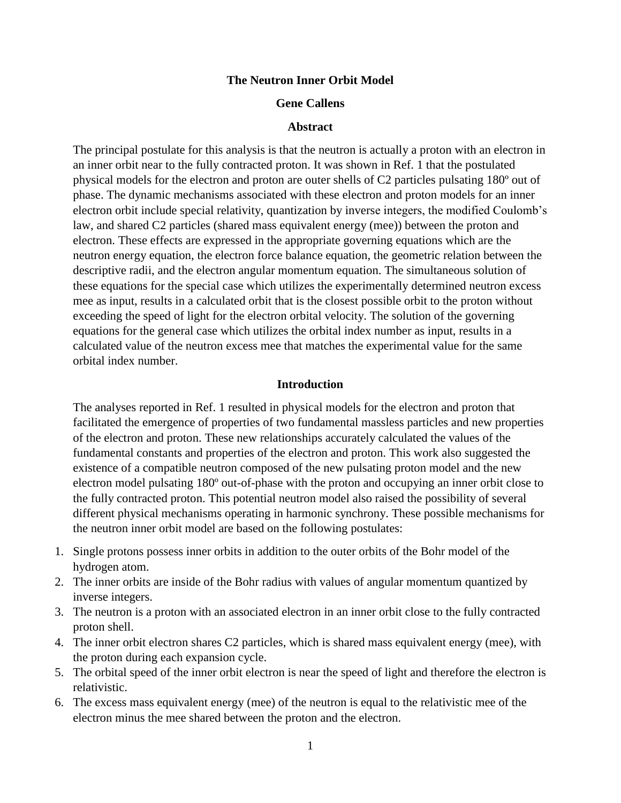### **The Neutron Inner Orbit Model**

### **Gene Callens**

#### **Abstract**

The principal postulate for this analysis is that the neutron is actually a proton with an electron in an inner orbit near to the fully contracted proton. It was shown in Ref. 1 that the postulated physical models for the electron and proton are outer shells of C2 particles pulsating 180º out of phase. The dynamic mechanisms associated with these electron and proton models for an inner electron orbit include special relativity, quantization by inverse integers, the modified Coulomb's law, and shared C2 particles (shared mass equivalent energy (mee)) between the proton and electron. These effects are expressed in the appropriate governing equations which are the neutron energy equation, the electron force balance equation, the geometric relation between the descriptive radii, and the electron angular momentum equation. The simultaneous solution of these equations for the special case which utilizes the experimentally determined neutron excess mee as input, results in a calculated orbit that is the closest possible orbit to the proton without exceeding the speed of light for the electron orbital velocity. The solution of the governing equations for the general case which utilizes the orbital index number as input, results in a calculated value of the neutron excess mee that matches the experimental value for the same orbital index number.

### **Introduction**

The analyses reported in Ref. 1 resulted in physical models for the electron and proton that facilitated the emergence of properties of two fundamental massless particles and new properties of the electron and proton. These new relationships accurately calculated the values of the fundamental constants and properties of the electron and proton. This work also suggested the existence of a compatible neutron composed of the new pulsating proton model and the new electron model pulsating 180º out-of-phase with the proton and occupying an inner orbit close to the fully contracted proton. This potential neutron model also raised the possibility of several different physical mechanisms operating in harmonic synchrony. These possible mechanisms for the neutron inner orbit model are based on the following postulates:

- 1. Single protons possess inner orbits in addition to the outer orbits of the Bohr model of the hydrogen atom.
- 2. The inner orbits are inside of the Bohr radius with values of angular momentum quantized by inverse integers.
- 3. The neutron is a proton with an associated electron in an inner orbit close to the fully contracted proton shell.
- 4. The inner orbit electron shares C2 particles, which is shared mass equivalent energy (mee), with the proton during each expansion cycle.
- 5. The orbital speed of the inner orbit electron is near the speed of light and therefore the electron is relativistic.
- 6. The excess mass equivalent energy (mee) of the neutron is equal to the relativistic mee of the electron minus the mee shared between the proton and the electron.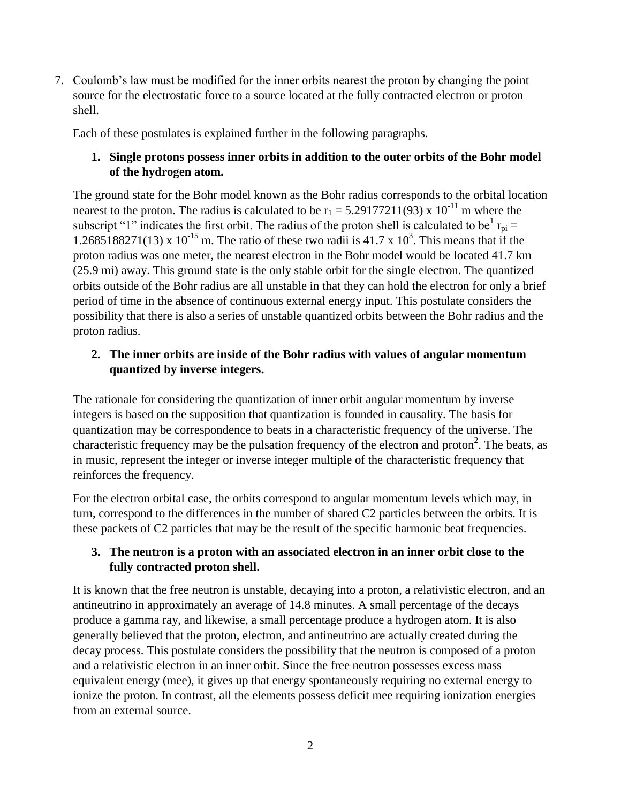7. Coulomb's law must be modified for the inner orbits nearest the proton by changing the point source for the electrostatic force to a source located at the fully contracted electron or proton shell.

Each of these postulates is explained further in the following paragraphs.

# **1. Single protons possess inner orbits in addition to the outer orbits of the Bohr model of the hydrogen atom.**

The ground state for the Bohr model known as the Bohr radius corresponds to the orbital location nearest to the proton. The radius is calculated to be  $r_1 = 5.29177211(93) \times 10^{-11}$  m where the subscript "1" indicates the first orbit. The radius of the proton shell is calculated to be  $r_{pi} =$ 1.2685188271(13) x 10<sup>-15</sup> m. The ratio of these two radii is 41.7 x 10<sup>3</sup>. This means that if the proton radius was one meter, the nearest electron in the Bohr model would be located 41.7 km (25.9 mi) away. This ground state is the only stable orbit for the single electron. The quantized orbits outside of the Bohr radius are all unstable in that they can hold the electron for only a brief period of time in the absence of continuous external energy input. This postulate considers the possibility that there is also a series of unstable quantized orbits between the Bohr radius and the proton radius.

# **2. The inner orbits are inside of the Bohr radius with values of angular momentum quantized by inverse integers.**

The rationale for considering the quantization of inner orbit angular momentum by inverse integers is based on the supposition that quantization is founded in causality. The basis for quantization may be correspondence to beats in a characteristic frequency of the universe. The characteristic frequency may be the pulsation frequency of the electron and proton<sup>2</sup>. The beats, as in music, represent the integer or inverse integer multiple of the characteristic frequency that reinforces the frequency.

For the electron orbital case, the orbits correspond to angular momentum levels which may, in turn, correspond to the differences in the number of shared C2 particles between the orbits. It is these packets of C2 particles that may be the result of the specific harmonic beat frequencies.

# **3. The neutron is a proton with an associated electron in an inner orbit close to the fully contracted proton shell.**

It is known that the free neutron is unstable, decaying into a proton, a relativistic electron, and an antineutrino in approximately an average of 14.8 minutes. A small percentage of the decays produce a gamma ray, and likewise, a small percentage produce a hydrogen atom. It is also generally believed that the proton, electron, and antineutrino are actually created during the decay process. This postulate considers the possibility that the neutron is composed of a proton and a relativistic electron in an inner orbit. Since the free neutron possesses excess mass equivalent energy (mee), it gives up that energy spontaneously requiring no external energy to ionize the proton. In contrast, all the elements possess deficit mee requiring ionization energies from an external source.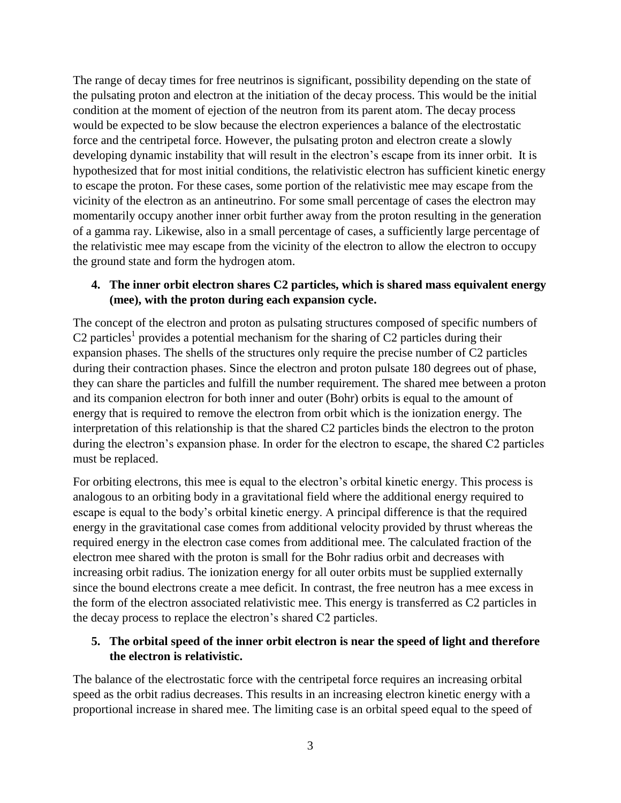The range of decay times for free neutrinos is significant, possibility depending on the state of the pulsating proton and electron at the initiation of the decay process. This would be the initial condition at the moment of ejection of the neutron from its parent atom. The decay process would be expected to be slow because the electron experiences a balance of the electrostatic force and the centripetal force. However, the pulsating proton and electron create a slowly developing dynamic instability that will result in the electron's escape from its inner orbit. It is hypothesized that for most initial conditions, the relativistic electron has sufficient kinetic energy to escape the proton. For these cases, some portion of the relativistic mee may escape from the vicinity of the electron as an antineutrino. For some small percentage of cases the electron may momentarily occupy another inner orbit further away from the proton resulting in the generation of a gamma ray. Likewise, also in a small percentage of cases, a sufficiently large percentage of the relativistic mee may escape from the vicinity of the electron to allow the electron to occupy the ground state and form the hydrogen atom.

## **4. The inner orbit electron shares C2 particles, which is shared mass equivalent energy (mee), with the proton during each expansion cycle.**

The concept of the electron and proton as pulsating structures composed of specific numbers of C2 particles<sup>1</sup> provides a potential mechanism for the sharing of C2 particles during their expansion phases. The shells of the structures only require the precise number of C2 particles during their contraction phases. Since the electron and proton pulsate 180 degrees out of phase, they can share the particles and fulfill the number requirement. The shared mee between a proton and its companion electron for both inner and outer (Bohr) orbits is equal to the amount of energy that is required to remove the electron from orbit which is the ionization energy. The interpretation of this relationship is that the shared C2 particles binds the electron to the proton during the electron's expansion phase. In order for the electron to escape, the shared C2 particles must be replaced.

For orbiting electrons, this mee is equal to the electron's orbital kinetic energy. This process is analogous to an orbiting body in a gravitational field where the additional energy required to escape is equal to the body's orbital kinetic energy. A principal difference is that the required energy in the gravitational case comes from additional velocity provided by thrust whereas the required energy in the electron case comes from additional mee. The calculated fraction of the electron mee shared with the proton is small for the Bohr radius orbit and decreases with increasing orbit radius. The ionization energy for all outer orbits must be supplied externally since the bound electrons create a mee deficit. In contrast, the free neutron has a mee excess in the form of the electron associated relativistic mee. This energy is transferred as C2 particles in the decay process to replace the electron's shared C2 particles.

## **5. The orbital speed of the inner orbit electron is near the speed of light and therefore the electron is relativistic.**

The balance of the electrostatic force with the centripetal force requires an increasing orbital speed as the orbit radius decreases. This results in an increasing electron kinetic energy with a proportional increase in shared mee. The limiting case is an orbital speed equal to the speed of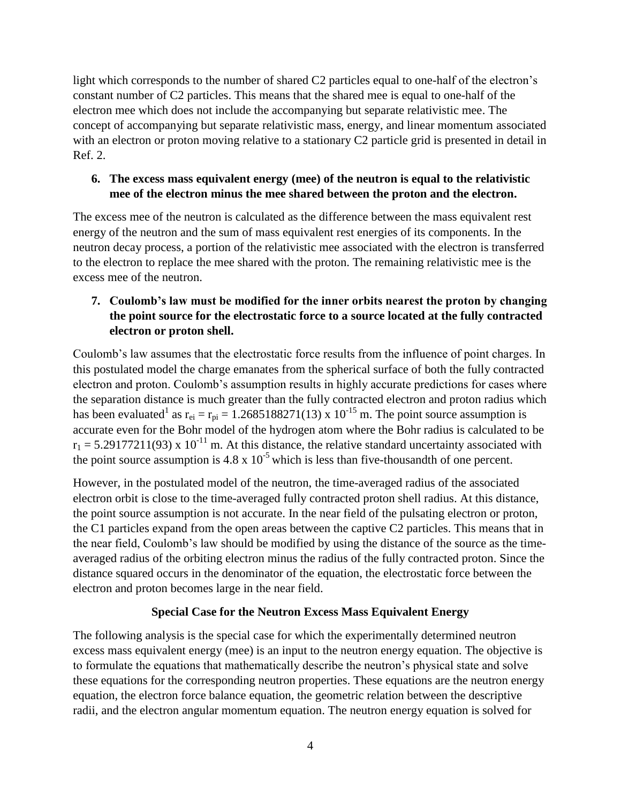light which corresponds to the number of shared C2 particles equal to one-half of the electron's constant number of C2 particles. This means that the shared mee is equal to one-half of the electron mee which does not include the accompanying but separate relativistic mee. The concept of accompanying but separate relativistic mass, energy, and linear momentum associated with an electron or proton moving relative to a stationary C2 particle grid is presented in detail in Ref. 2.

## **6. The excess mass equivalent energy (mee) of the neutron is equal to the relativistic mee of the electron minus the mee shared between the proton and the electron.**

The excess mee of the neutron is calculated as the difference between the mass equivalent rest energy of the neutron and the sum of mass equivalent rest energies of its components. In the neutron decay process, a portion of the relativistic mee associated with the electron is transferred to the electron to replace the mee shared with the proton. The remaining relativistic mee is the excess mee of the neutron.

# **7. Coulomb's law must be modified for the inner orbits nearest the proton by changing the point source for the electrostatic force to a source located at the fully contracted electron or proton shell.**

Coulomb's law assumes that the electrostatic force results from the influence of point charges. In this postulated model the charge emanates from the spherical surface of both the fully contracted electron and proton. Coulomb's assumption results in highly accurate predictions for cases where the separation distance is much greater than the fully contracted electron and proton radius which has been evaluated<sup>1</sup> as  $r_{ei} = r_{pi} = 1.2685188271(13) \times 10^{-15}$  m. The point source assumption is accurate even for the Bohr model of the hydrogen atom where the Bohr radius is calculated to be  $r_1 = 5.29177211(93)$  x 10<sup>-11</sup> m. At this distance, the relative standard uncertainty associated with the point source assumption is  $4.8 \times 10^{-5}$  which is less than five-thousandth of one percent.

However, in the postulated model of the neutron, the time-averaged radius of the associated electron orbit is close to the time-averaged fully contracted proton shell radius. At this distance, the point source assumption is not accurate. In the near field of the pulsating electron or proton, the C1 particles expand from the open areas between the captive C2 particles. This means that in the near field, Coulomb's law should be modified by using the distance of the source as the timeaveraged radius of the orbiting electron minus the radius of the fully contracted proton. Since the distance squared occurs in the denominator of the equation, the electrostatic force between the electron and proton becomes large in the near field.

# **Special Case for the Neutron Excess Mass Equivalent Energy**

The following analysis is the special case for which the experimentally determined neutron excess mass equivalent energy (mee) is an input to the neutron energy equation. The objective is to formulate the equations that mathematically describe the neutron's physical state and solve these equations for the corresponding neutron properties. These equations are the neutron energy equation, the electron force balance equation, the geometric relation between the descriptive radii, and the electron angular momentum equation. The neutron energy equation is solved for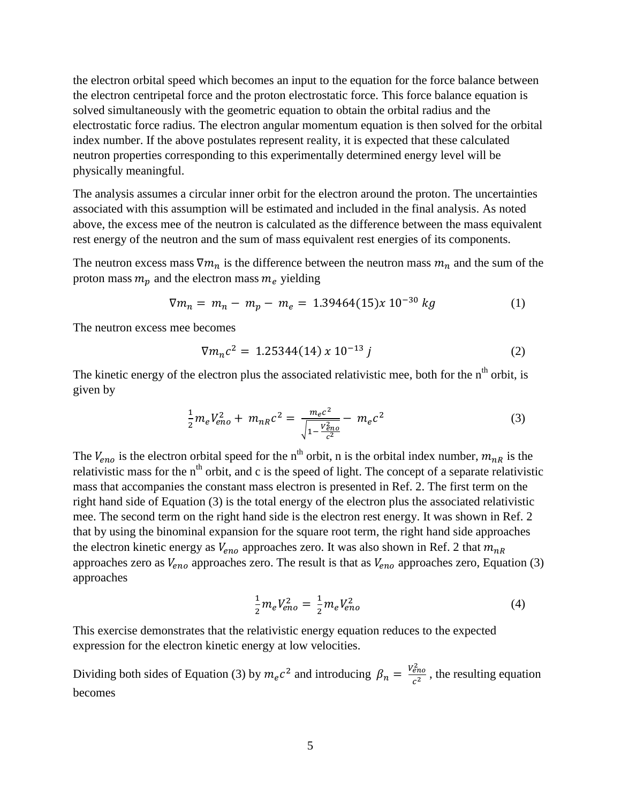the electron orbital speed which becomes an input to the equation for the force balance between the electron centripetal force and the proton electrostatic force. This force balance equation is solved simultaneously with the geometric equation to obtain the orbital radius and the electrostatic force radius. The electron angular momentum equation is then solved for the orbital index number. If the above postulates represent reality, it is expected that these calculated neutron properties corresponding to this experimentally determined energy level will be physically meaningful.

The analysis assumes a circular inner orbit for the electron around the proton. The uncertainties associated with this assumption will be estimated and included in the final analysis. As noted above, the excess mee of the neutron is calculated as the difference between the mass equivalent rest energy of the neutron and the sum of mass equivalent rest energies of its components.

The neutron excess mass  $\nabla m_n$  is the difference between the neutron mass  $m_n$  and the sum of the proton mass  $m_p$  and the electron mass  $m_e$  yielding

$$
\nabla m_n = m_n - m_p - m_e = 1.39464(15)x 10^{-30} kg \tag{1}
$$

The neutron excess mee becomes

$$
\nabla m_n c^2 = 1.25344(14) \times 10^{-13} \, j \tag{2}
$$

The kinetic energy of the electron plus the associated relativistic mee, both for the  $n<sup>th</sup>$  orbit, is given by

$$
\frac{1}{2}m_eV_{eno}^2 + m_{nR}c^2 = \frac{m_ec^2}{\sqrt{1 - \frac{V_{eno}^2}{c^2}}} - m_ec^2
$$
\n(3)

The  $V_{eno}$  is the electron orbital speed for the n<sup>th</sup> orbit, n is the orbital index number,  $m_{nR}$  is the relativistic mass for the  $n<sup>th</sup>$  orbit, and c is the speed of light. The concept of a separate relativistic mass that accompanies the constant mass electron is presented in Ref. 2. The first term on the right hand side of Equation (3) is the total energy of the electron plus the associated relativistic mee. The second term on the right hand side is the electron rest energy. It was shown in Ref. 2 that by using the binominal expansion for the square root term, the right hand side approaches the electron kinetic energy as  $V_{eno}$  approaches zero. It was also shown in Ref. 2 that  $m_{nR}$ approaches zero as  $V_{eno}$  approaches zero. The result is that as  $V_{eno}$  approaches zero, Equation (3) approaches

$$
\frac{1}{2}m_e V_{eno}^2 = \frac{1}{2}m_e V_{eno}^2
$$
 (4)

This exercise demonstrates that the relativistic energy equation reduces to the expected expression for the electron kinetic energy at low velocities.

Dividing both sides of Equation (3) by  $m_ec^2$  and introducing  $\beta_n = \frac{V_{eq}^2}{r^2}$  $\frac{e^{n\theta}}{c^2}$ , the resulting equation becomes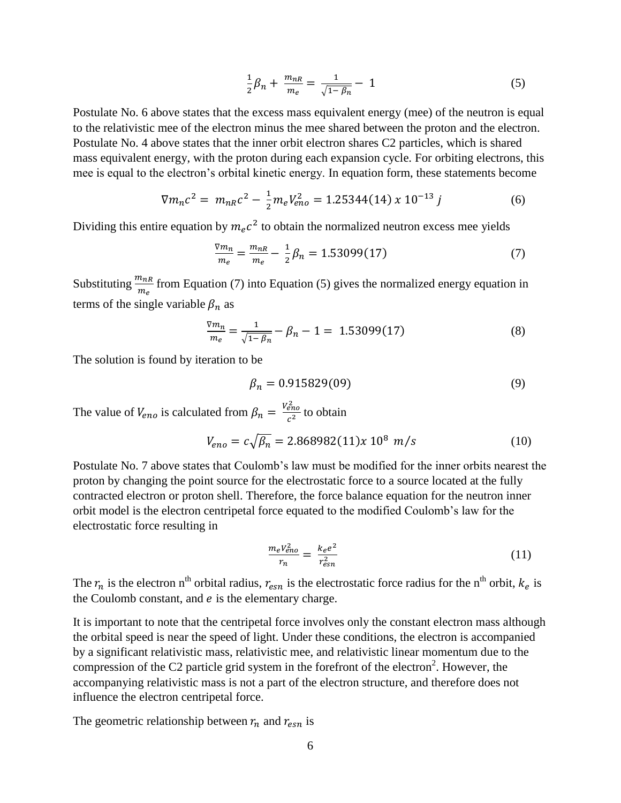$$
\frac{1}{2}\beta_n + \frac{m_{nR}}{m_e} = \frac{1}{\sqrt{1 - \beta_n}} - 1\tag{5}
$$

Postulate No. 6 above states that the excess mass equivalent energy (mee) of the neutron is equal to the relativistic mee of the electron minus the mee shared between the proton and the electron. Postulate No. 4 above states that the inner orbit electron shares C2 particles, which is shared mass equivalent energy, with the proton during each expansion cycle. For orbiting electrons, this mee is equal to the electron's orbital kinetic energy. In equation form, these statements become

$$
\nabla m_n c^2 = m_{nR} c^2 - \frac{1}{2} m_e V_{eno}^2 = 1.25344(14) \times 10^{-13} \, j \tag{6}
$$

Dividing this entire equation by  $m_e c^2$  to obtain the normalized neutron excess mee yields

$$
\frac{\nabla m_n}{m_e} = \frac{m_{nR}}{m_e} - \frac{1}{2}\beta_n = 1.53099(17)
$$
\n(7)

Substituting  $\frac{m_{nR}}{m_e}$  from Equation (7) into Equation (5) gives the normalized energy equation in terms of the single variable  $\beta_n$  as

$$
\frac{\nabla m_n}{m_e} = \frac{1}{\sqrt{1 - \beta_n}} - \beta_n - 1 = 1.53099(17)
$$
\n(8)

The solution is found by iteration to be

$$
\beta_n = 0.915829(09) \tag{9}
$$

The value of  $V_{eno}$  is calculated from  $\beta_n = \frac{V_{en}^2}{r^2}$  $\frac{eno}{c^2}$  to obtain

$$
V_{eno} = c\sqrt{\beta_n} = 2.868982(11)x 10^8 m/s
$$
 (10)

Postulate No. 7 above states that Coulomb's law must be modified for the inner orbits nearest the proton by changing the point source for the electrostatic force to a source located at the fully contracted electron or proton shell. Therefore, the force balance equation for the neutron inner orbit model is the electron centripetal force equated to the modified Coulomb's law for the electrostatic force resulting in

$$
\frac{m_e V_{eno}^2}{r_n} = \frac{k_e e^2}{r_{esn}^2} \tag{11}
$$

The  $r_n$  is the electron n<sup>th</sup> orbital radius,  $r_{esn}$  is the electrostatic force radius for the n<sup>th</sup> orbit,  $k_e$  is the Coulomb constant, and  $e$  is the elementary charge.

It is important to note that the centripetal force involves only the constant electron mass although the orbital speed is near the speed of light. Under these conditions, the electron is accompanied by a significant relativistic mass, relativistic mee, and relativistic linear momentum due to the compression of the C2 particle grid system in the forefront of the electron<sup>2</sup>. However, the accompanying relativistic mass is not a part of the electron structure, and therefore does not influence the electron centripetal force.

The geometric relationship between  $r_n$  and  $r_{esn}$  is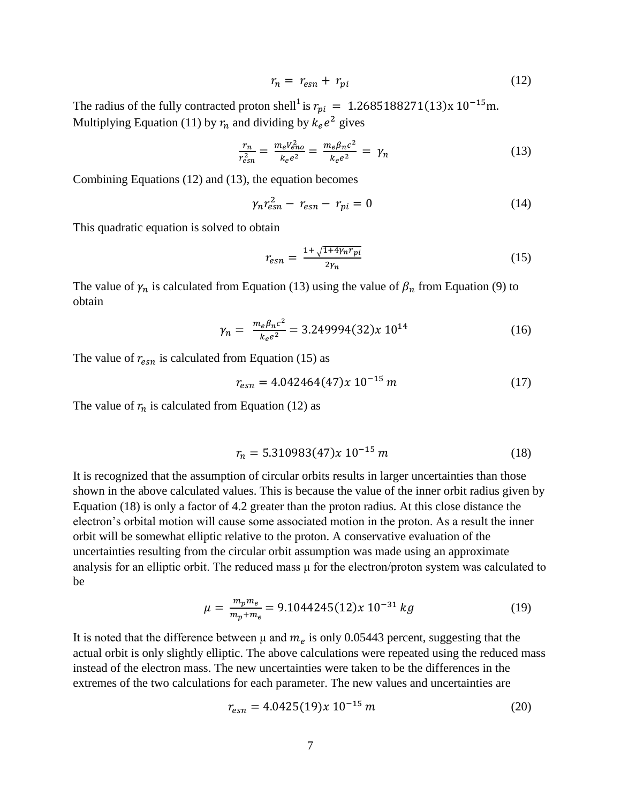$$
r_n = r_{esn} + r_{pi} \tag{12}
$$

The radius of the fully contracted proton shell<sup>1</sup> is  $r_{ni} = 1.2685188271(13)x$ Multiplying Equation (11) by  $r_n$  and dividing by  $k_e e^2$  gives

$$
\frac{r_n}{r_{esn}^2} = \frac{m_e v_{eno}^2}{k_e e^2} = \frac{m_e \beta_n c^2}{k_e e^2} = \gamma_n \tag{13}
$$

Combining Equations (12) and (13), the equation becomes

$$
\gamma_n r_{\rm e\,}^2 - r_{\rm e\,} - r_{\rm pi} = 0 \tag{14}
$$

This quadratic equation is solved to obtain

$$
r_{esn} = \frac{1 + \sqrt{1 + 4\gamma_n r_{pi}}}{2\gamma_n} \tag{15}
$$

The value of  $\gamma_n$  is calculated from Equation (13) using the value of  $\beta_n$  from Equation (9) to obtain

$$
\gamma_n = \frac{m_e \beta_n c^2}{k_e e^2} = 3.249994(32)x \, 10^{14} \tag{16}
$$

The value of  $r_{esn}$  is calculated from Equation (15) as

$$
r_{esn} = 4.042464(47)x 10^{-15} m \tag{17}
$$

The value of  $r_n$  is calculated from Equation (12) as

$$
r_n = 5.310983(47)x 10^{-15} m \tag{18}
$$

It is recognized that the assumption of circular orbits results in larger uncertainties than those shown in the above calculated values. This is because the value of the inner orbit radius given by Equation (18) is only a factor of 4.2 greater than the proton radius. At this close distance the electron's orbital motion will cause some associated motion in the proton. As a result the inner orbit will be somewhat elliptic relative to the proton. A conservative evaluation of the uncertainties resulting from the circular orbit assumption was made using an approximate analysis for an elliptic orbit. The reduced mass μ for the electron/proton system was calculated to be

$$
\mu = \frac{m_p m_e}{m_p + m_e} = 9.1044245(12)x \ 10^{-31} \ kg \tag{19}
$$

It is noted that the difference between  $\mu$  and  $m_e$  is only 0.05443 percent, suggesting that the actual orbit is only slightly elliptic. The above calculations were repeated using the reduced mass instead of the electron mass. The new uncertainties were taken to be the differences in the extremes of the two calculations for each parameter. The new values and uncertainties are

$$
r_{esn} = 4.0425(19)x 10^{-15} m \tag{20}
$$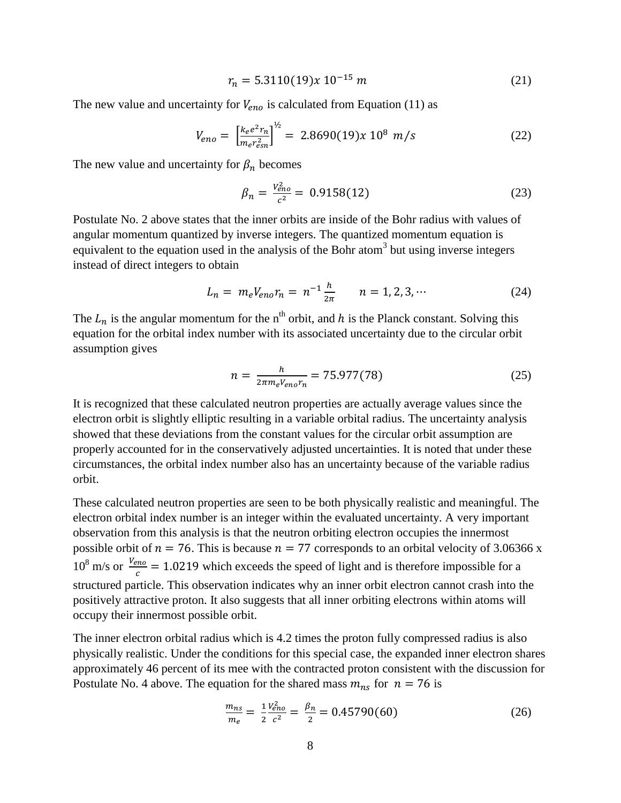$$
r_n = 5.3110(19)x 10^{-15} m \tag{21}
$$

The new value and uncertainty for  $V_{eno}$  is calculated from Equation (11) as

$$
V_{eno} = \left[\frac{k_e e^2 r_n}{m_e r_{esn}^2}\right]^{\frac{1}{2}} = 2.8690(19)x 10^8 m/s \tag{22}
$$

The new value and uncertainty for  $\beta_n$  becomes

$$
\beta_n = \frac{V_{eno}^2}{c^2} = 0.9158(12) \tag{23}
$$

Postulate No. 2 above states that the inner orbits are inside of the Bohr radius with values of angular momentum quantized by inverse integers. The quantized momentum equation is equivalent to the equation used in the analysis of the Bohr atom<sup>3</sup> but using inverse integers instead of direct integers to obtain

$$
L_n = m_e V_{eno} r_n = n^{-1} \frac{h}{2\pi} \qquad n = 1, 2, 3, \cdots \tag{24}
$$

The  $L_n$  is the angular momentum for the n<sup>th</sup> orbit, and h is the Planck constant. Solving this equation for the orbital index number with its associated uncertainty due to the circular orbit assumption gives

$$
n = \frac{h}{2\pi m_e V_{eno} r_n} = 75.977(78)
$$
 (25)

It is recognized that these calculated neutron properties are actually average values since the electron orbit is slightly elliptic resulting in a variable orbital radius. The uncertainty analysis showed that these deviations from the constant values for the circular orbit assumption are properly accounted for in the conservatively adjusted uncertainties. It is noted that under these circumstances, the orbital index number also has an uncertainty because of the variable radius orbit.

These calculated neutron properties are seen to be both physically realistic and meaningful. The electron orbital index number is an integer within the evaluated uncertainty. A very important observation from this analysis is that the neutron orbiting electron occupies the innermost possible orbit of  $n = 76$ . This is because  $n = 77$  corresponds to an orbital velocity of 3.06366 x  $10^8$  m/s or  $\frac{V_0}{V}$  $\frac{m_0}{c}$  = 1.0219 which exceeds the speed of light and is therefore impossible for a structured particle. This observation indicates why an inner orbit electron cannot crash into the positively attractive proton. It also suggests that all inner orbiting electrons within atoms will occupy their innermost possible orbit.

The inner electron orbital radius which is 4.2 times the proton fully compressed radius is also physically realistic. Under the conditions for this special case, the expanded inner electron shares approximately 46 percent of its mee with the contracted proton consistent with the discussion for Postulate No. 4 above. The equation for the shared mass  $m_{ns}$  for  $n = 76$  is

$$
\frac{m_{ns}}{m_e} = \frac{1}{2} \frac{V_{\text{eno}}^2}{c^2} = \frac{\beta_n}{2} = 0.45790(60)
$$
 (26)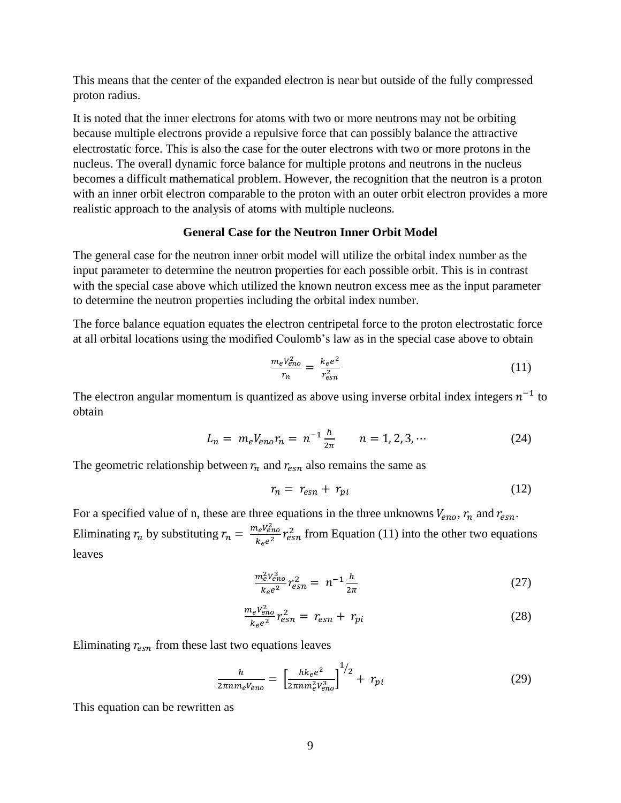This means that the center of the expanded electron is near but outside of the fully compressed proton radius.

It is noted that the inner electrons for atoms with two or more neutrons may not be orbiting because multiple electrons provide a repulsive force that can possibly balance the attractive electrostatic force. This is also the case for the outer electrons with two or more protons in the nucleus. The overall dynamic force balance for multiple protons and neutrons in the nucleus becomes a difficult mathematical problem. However, the recognition that the neutron is a proton with an inner orbit electron comparable to the proton with an outer orbit electron provides a more realistic approach to the analysis of atoms with multiple nucleons.

#### **General Case for the Neutron Inner Orbit Model**

The general case for the neutron inner orbit model will utilize the orbital index number as the input parameter to determine the neutron properties for each possible orbit. This is in contrast with the special case above which utilized the known neutron excess mee as the input parameter to determine the neutron properties including the orbital index number.

The force balance equation equates the electron centripetal force to the proton electrostatic force at all orbital locations using the modified Coulomb's law as in the special case above to obtain

$$
\frac{m_e V_{eno}^2}{r_n} = \frac{k_e e^2}{r_{esn}^2} \tag{11}
$$

The electron angular momentum is quantized as above using inverse orbital index integers  $n^{-1}$  to obtain

$$
L_n = m_e V_{eno} r_n = n^{-1} \frac{h}{2\pi} \qquad n = 1, 2, 3, \cdots \tag{24}
$$

The geometric relationship between  $r_n$  and  $r_{esn}$  also remains the same as

$$
r_n = r_{esn} + r_{pi} \tag{12}
$$

For a specified value of n, these are three equations in the three unknowns  $V_{eno}$ ,  $r_n$  and  $r_{esn}$ . Eliminating  $r_n$  by substituting  $r_n = \frac{m_e V_{\text{eff}}^2}{L}$  $\frac{f_e V_{\text{eno}}}{k_e e^2} r_{\text{es}}^2$  from Equation (11) into the other two equations leaves

$$
\frac{m_e^2 V_{eno}^3}{k_e e^2} r_{esn}^2 = n^{-1} \frac{h}{2\pi}
$$
 (27)

$$
\frac{m_e v_{eno}^2}{k_e e^2} r_{esn}^2 = r_{esn} + r_{pi}
$$
 (28)

Eliminating  $r_{esn}$  from these last two equations leaves

$$
\frac{h}{2\pi nm_e V_{eno}} = \left[\frac{hk_e e^2}{2\pi nm_e^2 V_{eno}^3}\right]^{1/2} + r_{pi} \tag{29}
$$

This equation can be rewritten as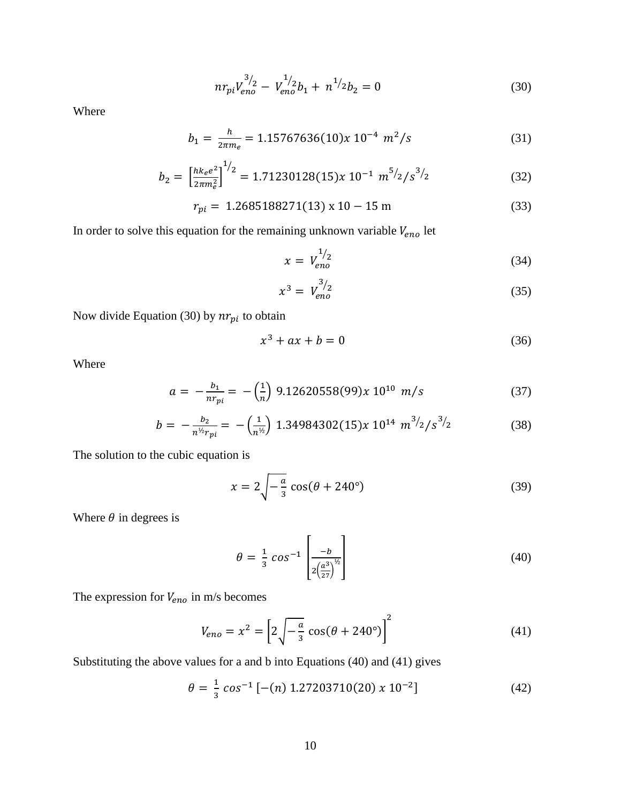$$
nr_{pi}V_{eno}^{3/2} - V_{eno}^{1/2}b_1 + n^{1/2}b_2 = 0
$$
\n(30)

Where

$$
b_1 = \frac{h}{2\pi m_e} = 1.15767636(10)x \ 10^{-4} \ m^2/s \tag{31}
$$

$$
b_2 = \left[\frac{h k_e e^2}{2\pi m_e^2}\right]^{1/2} = 1.71230128(15)x 10^{-1} m^{5/2/s^3/2}
$$
 (32)

$$
r_{pi} = 1.2685188271(13) \times 10 - 15 \text{ m} \tag{33}
$$

In order to solve this equation for the remaining unknown variable  $V_{eno}$  let

$$
x = V_{eno}^{1/2} \tag{34}
$$

$$
x^3 = V_{eno}^{3/2} \tag{35}
$$

Now divide Equation (30) by  $nr_{pi}$  to obtain

$$
x^3 + ax + b = 0 \tag{36}
$$

Where

$$
a = -\frac{b_1}{nr_{pi}} = -\left(\frac{1}{n}\right)9.12620558(99)x10^{10} m/s \tag{37}
$$

$$
b = -\frac{b_2}{n^{1/2}r_{pi}} = -\left(\frac{1}{n^{1/2}}\right) 1.34984302(15)x 10^{14} m^{3/2/s^{3/2}}
$$
 (38)

The solution to the cubic equation is

$$
x = 2\sqrt{-\frac{a}{3}}\cos(\theta + 240^\circ) \tag{39}
$$

Where  $\theta$  in degrees is

$$
\theta = \frac{1}{3} \cos^{-1} \left[ \frac{-b}{2\left(\frac{a^3}{27}\right)^{1/2}} \right]
$$
(40)

The expression for  $V_{eno}$  in m/s becomes

$$
V_{eno} = x^2 = \left[2\sqrt{-\frac{a}{3}}\cos(\theta + 240^\circ)\right]^2\tag{41}
$$

Substituting the above values for a and b into Equations (40) and (41) gives

$$
\theta = \frac{1}{3} \cos^{-1} [-(n) 1.27203710(20) \times 10^{-2}]
$$
\n(42)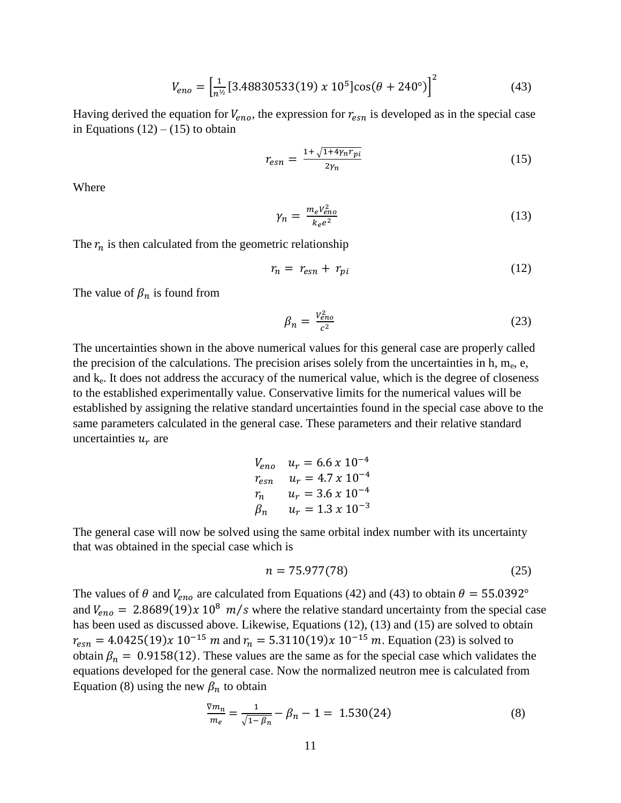$$
V_{eno} = \left[\frac{1}{n^{1/2}}[3.48830533(19) \times 10^5]\cos(\theta + 240^\circ)\right]^2\tag{43}
$$

Having derived the equation for  $V_{eno}$ , the expression for  $r_{esn}$  is developed as in the special case in Equations  $(12) - (15)$  to obtain

$$
r_{esn} = \frac{1 + \sqrt{1 + 4\gamma_n r_{pi}}}{2\gamma_n} \tag{15}
$$

Where

$$
\gamma_n = \frac{m_e V_{eno}^2}{k_e e^2} \tag{13}
$$

The  $r_n$  is then calculated from the geometric relationship

$$
r_n = r_{esn} + r_{pi} \tag{12}
$$

The value of  $\beta_n$  is found from

$$
\beta_n = \frac{V_{\text{eno}}^2}{c^2} \tag{23}
$$

The uncertainties shown in the above numerical values for this general case are properly called the precision of the calculations. The precision arises solely from the uncertainties in h,  $m_e$ , e, and  $k<sub>e</sub>$ . It does not address the accuracy of the numerical value, which is the degree of closeness to the established experimentally value. Conservative limits for the numerical values will be established by assigning the relative standard uncertainties found in the special case above to the same parameters calculated in the general case. These parameters and their relative standard uncertainties  $u_r$  are

$$
V_{eno} \t u_r = 6.6 \times 10^{-4}
$$
  
\n
$$
r_{esn} \t u_r = 4.7 \times 10^{-4}
$$
  
\n
$$
r_n \t u_r = 3.6 \times 10^{-4}
$$
  
\n
$$
\beta_n \t u_r = 1.3 \times 10^{-3}
$$

The general case will now be solved using the same orbital index number with its uncertainty that was obtained in the special case which is

$$
n = 75.977(78)
$$
 (25)

The values of  $\theta$  and  $V_{eno}$  are calculated from Equations (42) and (43) to obtain  $\theta = 55.0392^{\circ}$ and  $V_{eno} = 2.8689(19)x 10^8 m/s$  where the relative standard uncertainty from the special case has been used as discussed above. Likewise, Equations (12), (13) and (15) are solved to obtain  $r_{esn} = 4.0425(19)x 10^{-15} m$  and  $r_n = 5.3110(19)x 10^{-15} m$ . Equation (23) is solved to obtain  $\beta_n = 0.9158(12)$ . These values are the same as for the special case which validates the equations developed for the general case. Now the normalized neutron mee is calculated from Equation (8) using the new  $\beta_n$  to obtain

$$
\frac{\nabla m_n}{m_e} = \frac{1}{\sqrt{1 - \beta_n}} - \beta_n - 1 = 1.530(24)
$$
\n(8)